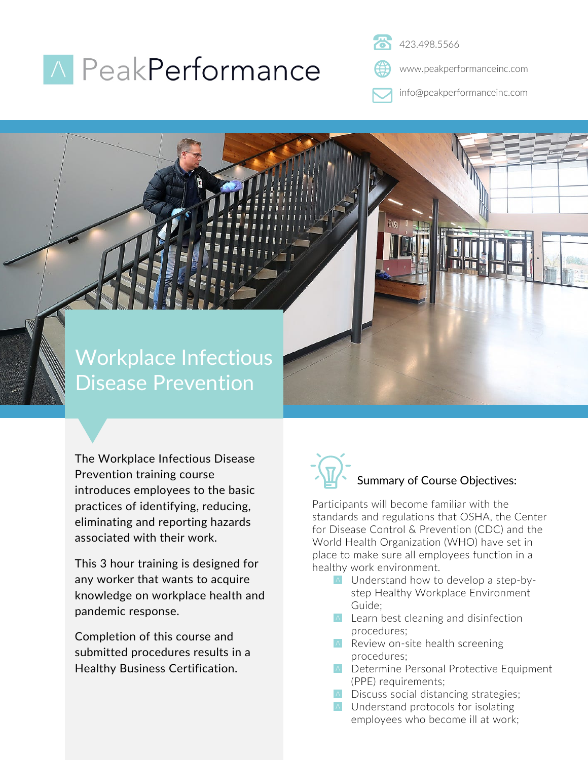## **A** PeakPerformance

423.498.5566

www.peakperformanceinc.com

info@peakperformanceinc.com

### Workplace Infectious Disease Prevention

The Workplace Infectious Disease Prevention training course introduces employees to the basic practices of identifying, reducing, eliminating and reporting hazards associated with their work.

This 3 hour training is designed for any worker that wants to acquire knowledge on workplace health and pandemic response.

Completion of this course and submitted procedures results in a Healthy Business Certification.

# Summary of Course Objectives:

Participants will become familiar with the standards and regulations that OSHA, the Center for Disease Control & Prevention (CDC) and the World Health Organization (WHO) have set in place to make sure all employees function in a healthy work environment.

- **A** Understand how to develop a step-bystep Healthy Workplace Environment Guide;
- $\triangle$  Learn best cleaning and disinfection procedures;
- $\wedge$  Review on-site health screening procedures;
- **A** Determine Personal Protective Equipment (PPE) requirements;
- **A** Discuss social distancing strategies;
- **A** Understand protocols for isolating employees who become ill at work;